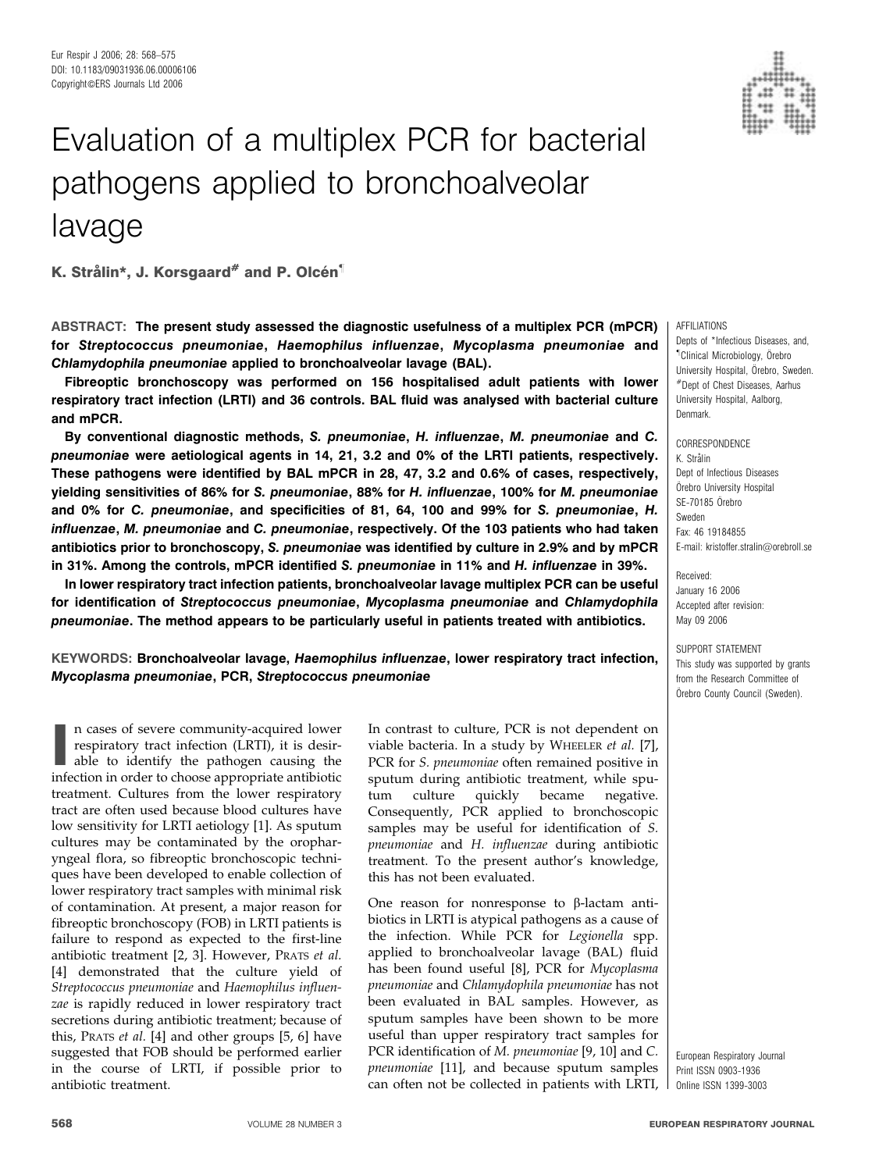

# Evaluation of a multiplex PCR for bacterial pathogens applied to bronchoalveolar lavage

K. Strålin\*, J. Korsgaard<sup>#</sup> and P. Olcén<sup>1</sup>

ABSTRACT: The present study assessed the diagnostic usefulness of a multiplex PCR (mPCR) for Streptococcus pneumoniae, Haemophilus influenzae, Mycoplasma pneumoniae and Chlamydophila pneumoniae applied to bronchoalveolar lavage (BAL).

Fibreoptic bronchoscopy was performed on 156 hospitalised adult patients with lower respiratory tract infection (LRTI) and 36 controls. BAL fluid was analysed with bacterial culture and mPCR.

By conventional diagnostic methods, S. pneumoniae, H. influenzae, M. pneumoniae and C. pneumoniae were aetiological agents in 14, 21, 3.2 and 0% of the LRTI patients, respectively. These pathogens were identified by BAL mPCR in 28, 47, 3.2 and 0.6% of cases, respectively, yielding sensitivities of 86% for S. pneumoniae, 88% for H. influenzae, 100% for M. pneumoniae and 0% for C. pneumoniae, and specificities of 81, 64, 100 and 99% for S. pneumoniae, H. influenzae, M. pneumoniae and C. pneumoniae, respectively. Of the 103 patients who had taken antibiotics prior to bronchoscopy, S. pneumoniae was identified by culture in 2.9% and by mPCR in 31%. Among the controls, mPCR identified S. pneumoniae in 11% and H. influenzae in 39%.

In lower respiratory tract infection patients, bronchoalveolar lavage multiplex PCR can be useful for identification of Streptococcus pneumoniae, Mycoplasma pneumoniae and Chlamydophila pneumoniae. The method appears to be particularly useful in patients treated with antibiotics.

KEYWORDS: Bronchoalveolar lavage, Haemophilus influenzae, lower respiratory tract infection, Mycoplasma pneumoniae, PCR, Streptococcus pneumoniae

In cases of severe community-acquired lower<br>respiratory tract infection (LRTI), it is desirable to identify the pathogen causing the<br>infection in order to choose appropriate antibiotic n cases of severe community-acquired lower respiratory tract infection (LRTI), it is desirable to identify the pathogen causing the treatment. Cultures from the lower respiratory tract are often used because blood cultures have low sensitivity for LRTI aetiology [1]. As sputum cultures may be contaminated by the oropharyngeal flora, so fibreoptic bronchoscopic techniques have been developed to enable collection of lower respiratory tract samples with minimal risk of contamination. At present, a major reason for fibreoptic bronchoscopy (FOB) in LRTI patients is failure to respond as expected to the first-line antibiotic treatment [2, 3]. However, PRATS et al. [4] demonstrated that the culture yield of Streptococcus pneumoniae and Haemophilus influenzae is rapidly reduced in lower respiratory tract secretions during antibiotic treatment; because of this, PRATS et al. [4] and other groups [5, 6] have suggested that FOB should be performed earlier in the course of LRTI, if possible prior to antibiotic treatment.

In contrast to culture, PCR is not dependent on viable bacteria. In a study by WHEELER et al. [7], PCR for S. pneumoniae often remained positive in sputum during antibiotic treatment, while sputum culture quickly became negative. Consequently, PCR applied to bronchoscopic samples may be useful for identification of S. pneumoniae and H. influenzae during antibiotic treatment. To the present author's knowledge, this has not been evaluated.

One reason for nonresponse to  $\beta$ -lactam antibiotics in LRTI is atypical pathogens as a cause of the infection. While PCR for Legionella spp. applied to bronchoalveolar lavage (BAL) fluid has been found useful [8], PCR for Mycoplasma pneumoniae and Chlamydophila pneumoniae has not been evaluated in BAL samples. However, as sputum samples have been shown to be more useful than upper respiratory tract samples for PCR identification of M. pneumoniae [9, 10] and C. pneumoniae [11], and because sputum samples can often not be collected in patients with LRTI,

#### AFFILIATIONS

Depts of \*Infectious Diseases, and " Clinical Microbiology, O¨rebro University Hospital, Örebro, Sweden. #Dept of Chest Diseases, Aarhus University Hospital, Aalborg, Denmark.

**CORRESPONDENCE** K. Strålin Dept of Infectious Diseases Örebro University Hospital SE-70185 Örebro Sweden Fax: 46 19184855 E-mail: kristoffer.stralin@orebroll.se

Received: January 16 2006 Accepted after revision: May 09 2006

SUPPORT STATEMENT This study was supported by grants from the Research Committee of Örebro County Council (Sweden).

European Respiratory Journal Print ISSN 0903-1936 Online ISSN 1399-3003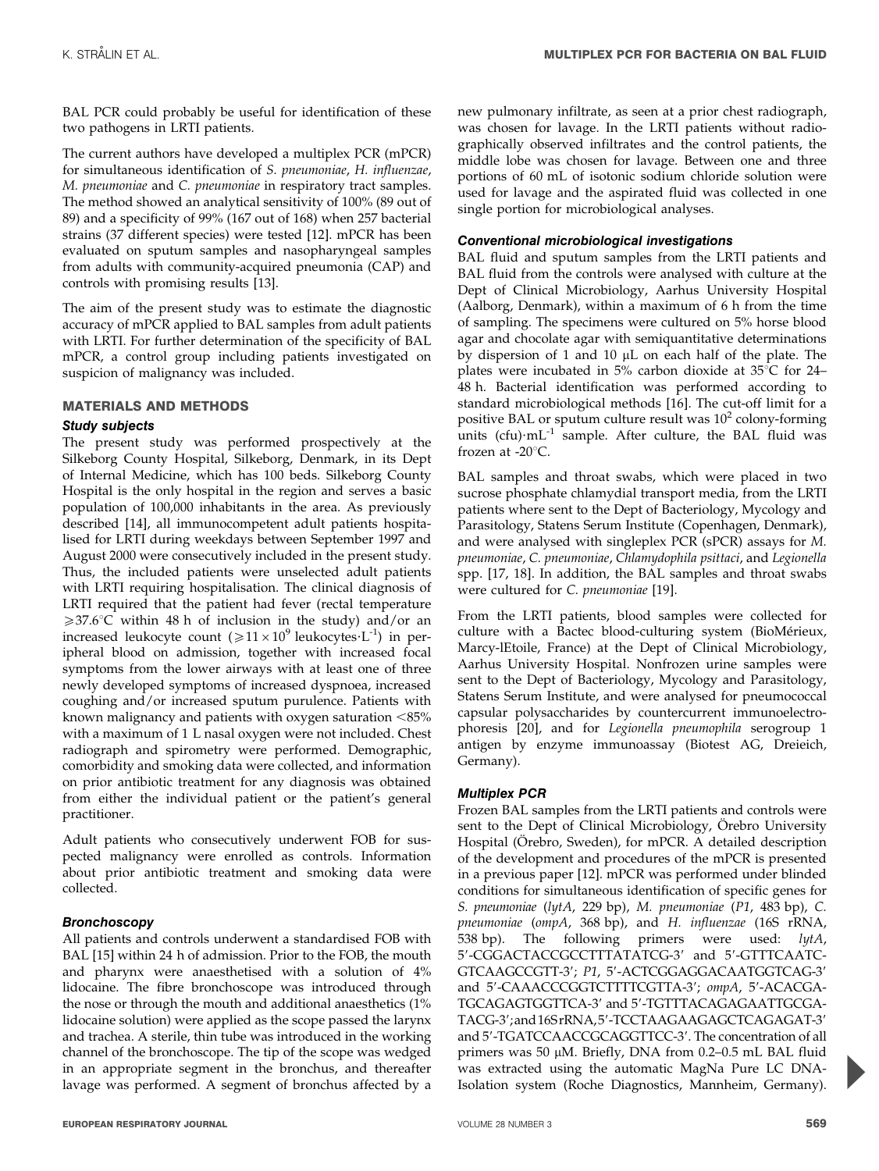BAL PCR could probably be useful for identification of these two pathogens in LRTI patients.

The current authors have developed a multiplex PCR (mPCR) for simultaneous identification of S. pneumoniae, H. influenzae, M. pneumoniae and C. pneumoniae in respiratory tract samples. The method showed an analytical sensitivity of 100% (89 out of 89) and a specificity of 99% (167 out of 168) when 257 bacterial strains (37 different species) were tested [12]. mPCR has been evaluated on sputum samples and nasopharyngeal samples from adults with community-acquired pneumonia (CAP) and controls with promising results [13].

The aim of the present study was to estimate the diagnostic accuracy of mPCR applied to BAL samples from adult patients with LRTI. For further determination of the specificity of BAL mPCR, a control group including patients investigated on suspicion of malignancy was included.

## MATERIALS AND METHODS

## Study subjects

The present study was performed prospectively at the Silkeborg County Hospital, Silkeborg, Denmark, in its Dept of Internal Medicine, which has 100 beds. Silkeborg County Hospital is the only hospital in the region and serves a basic population of 100,000 inhabitants in the area. As previously described [14], all immunocompetent adult patients hospitalised for LRTI during weekdays between September 1997 and August 2000 were consecutively included in the present study. Thus, the included patients were unselected adult patients with LRTI requiring hospitalisation. The clinical diagnosis of LRTI required that the patient had fever (rectal temperature  $\geq 37.6^{\circ}$ C within 48 h of inclusion in the study) and/or an increased leukocyte count ( $\geq 11 \times 10^9$  leukocytes $\cdot$ L<sup>-1</sup>) in peripheral blood on admission, together with increased focal symptoms from the lower airways with at least one of three newly developed symptoms of increased dyspnoea, increased coughing and/or increased sputum purulence. Patients with known malignancy and patients with oxygen saturation  $<85\%$ with a maximum of 1 L nasal oxygen were not included. Chest radiograph and spirometry were performed. Demographic, comorbidity and smoking data were collected, and information on prior antibiotic treatment for any diagnosis was obtained from either the individual patient or the patient's general practitioner.

Adult patients who consecutively underwent FOB for suspected malignancy were enrolled as controls. Information about prior antibiotic treatment and smoking data were collected.

## **Bronchoscopy**

All patients and controls underwent a standardised FOB with BAL [15] within 24 h of admission. Prior to the FOB, the mouth and pharynx were anaesthetised with a solution of 4% lidocaine. The fibre bronchoscope was introduced through the nose or through the mouth and additional anaesthetics (1% lidocaine solution) were applied as the scope passed the larynx and trachea. A sterile, thin tube was introduced in the working channel of the bronchoscope. The tip of the scope was wedged in an appropriate segment in the bronchus, and thereafter lavage was performed. A segment of bronchus affected by a new pulmonary infiltrate, as seen at a prior chest radiograph, was chosen for lavage. In the LRTI patients without radiographically observed infiltrates and the control patients, the middle lobe was chosen for lavage. Between one and three portions of 60 mL of isotonic sodium chloride solution were used for lavage and the aspirated fluid was collected in one single portion for microbiological analyses.

## Conventional microbiological investigations

BAL fluid and sputum samples from the LRTI patients and BAL fluid from the controls were analysed with culture at the Dept of Clinical Microbiology, Aarhus University Hospital (Aalborg, Denmark), within a maximum of 6 h from the time of sampling. The specimens were cultured on 5% horse blood agar and chocolate agar with semiquantitative determinations by dispersion of 1 and 10 µL on each half of the plate. The plates were incubated in 5% carbon dioxide at  $35^{\circ}$ C for 24– 48 h. Bacterial identification was performed according to standard microbiological methods [16]. The cut-off limit for a positive BAL or sputum culture result was  $10<sup>2</sup>$  colony-forming units  $(cfu)$ · $mL^{-1}$  sample. After culture, the BAL fluid was frozen at -20 $^{\circ}$ C.

BAL samples and throat swabs, which were placed in two sucrose phosphate chlamydial transport media, from the LRTI patients where sent to the Dept of Bacteriology, Mycology and Parasitology, Statens Serum Institute (Copenhagen, Denmark), and were analysed with singleplex PCR (sPCR) assays for M. pneumoniae, C. pneumoniae, Chlamydophila psittaci, and Legionella spp. [17, 18]. In addition, the BAL samples and throat swabs were cultured for C. pneumoniae [19].

From the LRTI patients, blood samples were collected for culture with a Bactec blood-culturing system (BioMérieux, Marcy-lEtoile, France) at the Dept of Clinical Microbiology, Aarhus University Hospital. Nonfrozen urine samples were sent to the Dept of Bacteriology, Mycology and Parasitology, Statens Serum Institute, and were analysed for pneumococcal capsular polysaccharides by countercurrent immunoelectrophoresis [20], and for Legionella pneumophila serogroup 1 antigen by enzyme immunoassay (Biotest AG, Dreieich, Germany).

## Multiplex PCR

Frozen BAL samples from the LRTI patients and controls were sent to the Dept of Clinical Microbiology, Örebro University Hospital (Örebro, Sweden), for mPCR. A detailed description of the development and procedures of the mPCR is presented in a previous paper [12]. mPCR was performed under blinded conditions for simultaneous identification of specific genes for S. pneumoniae (lytA, 229 bp), M. pneumoniae (P1, 483 bp), C. pneumoniae (ompA, 368 bp), and H. influenzae (16S rRNA, 538 bp). The following primers were used:  $lytA$ , 5'-CGGACTACCGCCTTTATATCG-3' and 5'-GTTTCAATC-GTCAAGCCGTT-3'; P1, 5'-ACTCGGAGGACAATGGTCAG-3' and 5'-CAAACCCGGTCTTTTCGTTA-3'; ompA, 5'-ACACGA-TGCAGAGTGGTTCA-3' and 5'-TGTTTACAGAGAATTGCGA-TACG-3'; and 16SrRNA, 5'-TCCTAAGAAGAGCTCAGAGAT-3' and 5'-TGATCCAACCGCAGGTTCC-3'. The concentration of all primers was 50 µM. Briefly, DNA from 0.2-0.5 mL BAL fluid was extracted using the automatic MagNa Pure LC DNA-Isolation system (Roche Diagnostics, Mannheim, Germany).

P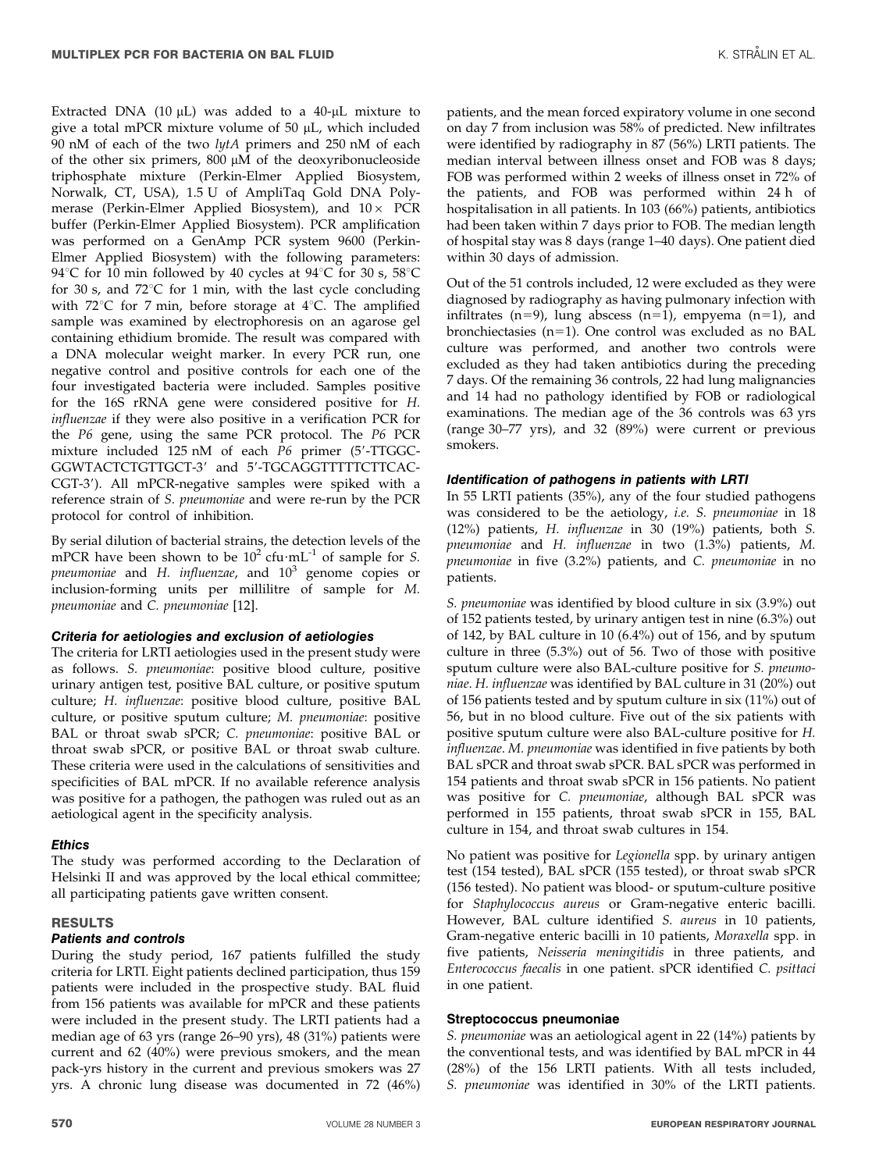Extracted DNA (10  $\mu$ L) was added to a 40- $\mu$ L mixture to give a total mPCR mixture volume of  $50 \mu L$ , which included 90 nM of each of the two lytA primers and 250 nM of each of the other six primers, 800  $\mu$ M of the deoxyribonucleoside triphosphate mixture (Perkin-Elmer Applied Biosystem, Norwalk, CT, USA), 1.5 U of AmpliTaq Gold DNA Polymerase (Perkin-Elmer Applied Biosystem), and  $10\times$  PCR buffer (Perkin-Elmer Applied Biosystem). PCR amplification was performed on a GenAmp PCR system 9600 (Perkin-Elmer Applied Biosystem) with the following parameters: 94°C for 10 min followed by 40 cycles at 94°C for 30 s, 58°C for 30 s, and 72 $^{\circ}$ C for 1 min, with the last cycle concluding with  $72^{\circ}$ C for 7 min, before storage at  $4^{\circ}$ C. The amplified sample was examined by electrophoresis on an agarose gel containing ethidium bromide. The result was compared with a DNA molecular weight marker. In every PCR run, one negative control and positive controls for each one of the four investigated bacteria were included. Samples positive for the 16S rRNA gene were considered positive for H. influenzae if they were also positive in a verification PCR for the P6 gene, using the same PCR protocol. The P6 PCR mixture included 125 nM of each  $P6$  primer (5'-TTGGC-GGWTACTCTGTTGCT-3' and 5'-TGCAGGTTTTTCTTCAC-CGT-3'). All mPCR-negative samples were spiked with a reference strain of S. pneumoniae and were re-run by the PCR protocol for control of inhibition.

By serial dilution of bacterial strains, the detection levels of the mPCR have been shown to be  $10^2$  cfu $\cdot$ mL<sup>-1</sup> of sample for *S*. pneumoniae and H. influenzae, and  $10^3$  genome copies or inclusion-forming units per millilitre of sample for M. pneumoniae and C. pneumoniae [12].

## Criteria for aetiologies and exclusion of aetiologies

The criteria for LRTI aetiologies used in the present study were as follows. S. pneumoniae: positive blood culture, positive urinary antigen test, positive BAL culture, or positive sputum culture; H. influenzae: positive blood culture, positive BAL culture, or positive sputum culture; M. pneumoniae: positive BAL or throat swab sPCR; C. pneumoniae: positive BAL or throat swab sPCR, or positive BAL or throat swab culture. These criteria were used in the calculations of sensitivities and specificities of BAL mPCR. If no available reference analysis was positive for a pathogen, the pathogen was ruled out as an aetiological agent in the specificity analysis.

## **Ethics**

The study was performed according to the Declaration of Helsinki II and was approved by the local ethical committee; all participating patients gave written consent.

#### **RESULTS**

#### Patients and controls

During the study period, 167 patients fulfilled the study criteria for LRTI. Eight patients declined participation, thus 159 patients were included in the prospective study. BAL fluid from 156 patients was available for mPCR and these patients were included in the present study. The LRTI patients had a median age of 63 yrs (range 26–90 yrs), 48 (31%) patients were current and 62 (40%) were previous smokers, and the mean pack-yrs history in the current and previous smokers was 27 yrs. A chronic lung disease was documented in 72 (46%)

patients, and the mean forced expiratory volume in one second on day 7 from inclusion was 58% of predicted. New infiltrates were identified by radiography in 87 (56%) LRTI patients. The median interval between illness onset and FOB was 8 days; FOB was performed within 2 weeks of illness onset in 72% of the patients, and FOB was performed within 24 h of hospitalisation in all patients. In 103 (66%) patients, antibiotics had been taken within 7 days prior to FOB. The median length of hospital stay was 8 days (range 1–40 days). One patient died within 30 days of admission.

Out of the 51 controls included, 12 were excluded as they were diagnosed by radiography as having pulmonary infection with infiltrates (n=9), lung abscess (n=1), empyema (n=1), and bronchiectasies  $(n=1)$ . One control was excluded as no BAL culture was performed, and another two controls were excluded as they had taken antibiotics during the preceding 7 days. Of the remaining 36 controls, 22 had lung malignancies and 14 had no pathology identified by FOB or radiological examinations. The median age of the 36 controls was 63 yrs (range 30–77 yrs), and 32 (89%) were current or previous smokers.

#### Identification of pathogens in patients with LRTI

In 55 LRTI patients (35%), any of the four studied pathogens was considered to be the aetiology, i.e. S. pneumoniae in 18 (12%) patients, H. influenzae in 30 (19%) patients, both S. pneumoniae and H. influenzae in two (1.3%) patients, M. pneumoniae in five (3.2%) patients, and C. pneumoniae in no patients.

S. pneumoniae was identified by blood culture in six (3.9%) out of 152 patients tested, by urinary antigen test in nine (6.3%) out of 142, by BAL culture in 10 (6.4%) out of 156, and by sputum culture in three (5.3%) out of 56. Two of those with positive sputum culture were also BAL-culture positive for S. pneumoniae. H. influenzae was identified by BAL culture in 31 (20%) out of 156 patients tested and by sputum culture in six (11%) out of 56, but in no blood culture. Five out of the six patients with positive sputum culture were also BAL-culture positive for H. influenzae. M. pneumoniae was identified in five patients by both BAL sPCR and throat swab sPCR. BAL sPCR was performed in 154 patients and throat swab sPCR in 156 patients. No patient was positive for C. pneumoniae, although BAL sPCR was performed in 155 patients, throat swab sPCR in 155, BAL culture in 154, and throat swab cultures in 154.

No patient was positive for Legionella spp. by urinary antigen test (154 tested), BAL sPCR (155 tested), or throat swab sPCR (156 tested). No patient was blood- or sputum-culture positive for Staphylococcus aureus or Gram-negative enteric bacilli. However, BAL culture identified S. aureus in 10 patients, Gram-negative enteric bacilli in 10 patients, Moraxella spp. in five patients, Neisseria meningitidis in three patients, and Enterococcus faecalis in one patient. sPCR identified C. psittaci in one patient.

#### Streptococcus pneumoniae

S. pneumoniae was an aetiological agent in 22 (14%) patients by the conventional tests, and was identified by BAL mPCR in 44 (28%) of the 156 LRTI patients. With all tests included, S. pneumoniae was identified in 30% of the LRTI patients.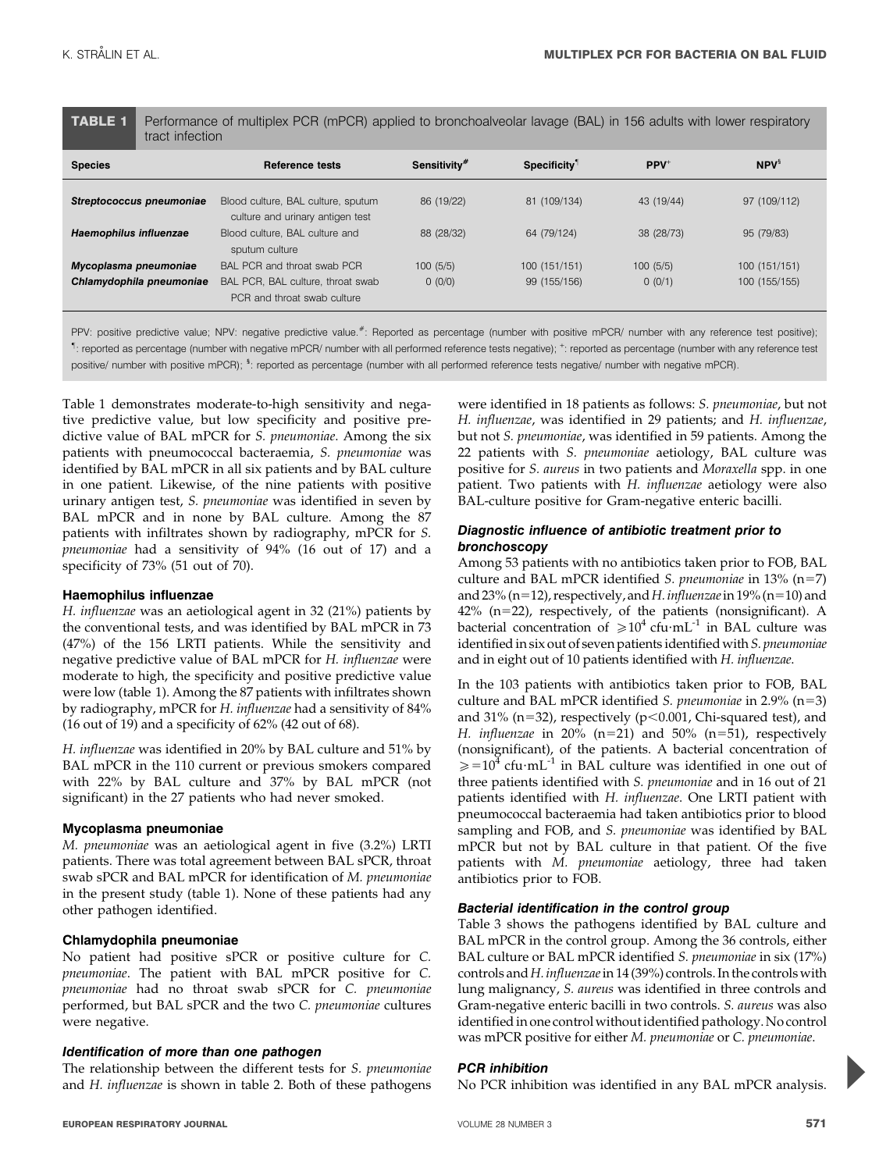TABLE 1 Performance of multiplex PCR (mPCR) applied to bronchoalveolar lavage (BAL) in 156 adults with lower respiratory tract infection

| <b>Species</b>           | Reference tests                                                        | Sensitivity <sup>#</sup> | Specificity <sup>1</sup> | $PPV^+$    | $NPV^s$       |
|--------------------------|------------------------------------------------------------------------|--------------------------|--------------------------|------------|---------------|
| Streptococcus pneumoniae | Blood culture, BAL culture, sputum<br>culture and urinary antigen test | 86 (19/22)               | 81 (109/134)             | 43 (19/44) | 97 (109/112)  |
| Haemophilus influenzae   | Blood culture, BAL culture and<br>sputum culture                       | 88 (28/32)               | 64 (79/124)              | 38 (28/73) | 95 (79/83)    |
| Mycoplasma pneumoniae    | BAL PCR and throat swab PCR                                            | 100(5/5)                 | 100 (151/151)            | 100(5/5)   | 100 (151/151) |
| Chlamydophila pneumoniae | BAL PCR, BAL culture, throat swab<br>PCR and throat swab culture       | 0 (0/0)                  | 99 (155/156)             | 0(0/1)     | 100 (155/155) |

PPV: positive predictive value; NPV: negative predictive value.<sup>#</sup>: Reported as percentage (number with positive mPCR/ number with any reference test positive); " : reported as percentage (number with negative mPCR/ number with all performed reference tests negative); <sup>+</sup> : reported as percentage (number with any reference test positive/ number with positive mPCR); <sup>s</sup>: reported as percentage (number with all performed reference tests negative/ number with negative mPCR).

Table 1 demonstrates moderate-to-high sensitivity and negative predictive value, but low specificity and positive predictive value of BAL mPCR for S. pneumoniae. Among the six patients with pneumococcal bacteraemia, S. pneumoniae was identified by BAL mPCR in all six patients and by BAL culture in one patient. Likewise, of the nine patients with positive urinary antigen test, S. pneumoniae was identified in seven by BAL mPCR and in none by BAL culture. Among the 87 patients with infiltrates shown by radiography, mPCR for S. pneumoniae had a sensitivity of 94% (16 out of 17) and a specificity of 73% (51 out of 70).

#### Haemophilus influenzae

H. influenzae was an aetiological agent in 32 (21%) patients by the conventional tests, and was identified by BAL mPCR in 73 (47%) of the 156 LRTI patients. While the sensitivity and negative predictive value of BAL mPCR for H. influenzae were moderate to high, the specificity and positive predictive value were low (table 1). Among the 87 patients with infiltrates shown by radiography, mPCR for H. influenzae had a sensitivity of 84% (16 out of 19) and a specificity of 62% (42 out of 68).

H. influenzae was identified in 20% by BAL culture and 51% by BAL mPCR in the 110 current or previous smokers compared with 22% by BAL culture and 37% by BAL mPCR (not significant) in the 27 patients who had never smoked.

#### Mycoplasma pneumoniae

M. pneumoniae was an aetiological agent in five (3.2%) LRTI patients. There was total agreement between BAL sPCR, throat swab sPCR and BAL mPCR for identification of M. pneumoniae in the present study (table 1). None of these patients had any other pathogen identified.

#### Chlamydophila pneumoniae

No patient had positive sPCR or positive culture for C. pneumoniae. The patient with BAL mPCR positive for C. pneumoniae had no throat swab sPCR for C. pneumoniae performed, but BAL sPCR and the two C. pneumoniae cultures were negative.

#### Identification of more than one pathogen

The relationship between the different tests for S. pneumoniae and H. influenzae is shown in table 2. Both of these pathogens were identified in 18 patients as follows: S. pneumoniae, but not H. influenzae, was identified in 29 patients; and H. influenzae, but not S. pneumoniae, was identified in 59 patients. Among the 22 patients with S. pneumoniae aetiology, BAL culture was positive for S. aureus in two patients and Moraxella spp. in one patient. Two patients with H. influenzae aetiology were also BAL-culture positive for Gram-negative enteric bacilli.

### Diagnostic influence of antibiotic treatment prior to bronchoscopy

Among 53 patients with no antibiotics taken prior to FOB, BAL culture and BAL mPCR identified S. pneumoniae in  $13\%$  (n=7) and 23% (n=12), respectively, and H. influenzae in 19% (n=10) and  $42\%$  (n=22), respectively, of the patients (nonsignificant). A bacterial concentration of  $\geq 10^4$  cfu·mL<sup>-1</sup> in BAL culture was identified in six out of seven patients identified with S. pneumoniae and in eight out of 10 patients identified with H. influenzae.

In the 103 patients with antibiotics taken prior to FOB, BAL culture and BAL mPCR identified *S. pneumoniae* in 2.9% ( $n=3$ ) and 31% ( $n=32$ ), respectively ( $p<0.001$ , Chi-squared test), and H. influenzae in 20% (n=21) and 50% (n=51), respectively (nonsignificant), of the patients. A bacterial concentration of  $\geq 10^4$  cfu·mL<sup>-1</sup> in BAL culture was identified in one out of three patients identified with S. pneumoniae and in 16 out of 21 patients identified with H. influenzae. One LRTI patient with pneumococcal bacteraemia had taken antibiotics prior to blood sampling and FOB, and S. pneumoniae was identified by BAL mPCR but not by BAL culture in that patient. Of the five patients with M. pneumoniae aetiology, three had taken antibiotics prior to FOB.

## Bacterial identification in the control group

Table 3 shows the pathogens identified by BAL culture and BAL mPCR in the control group. Among the 36 controls, either BAL culture or BAL mPCR identified S. pneumoniae in six (17%) controls and H. influenzae in 14 (39%) controls. In the controls with lung malignancy, S. aureus was identified in three controls and Gram-negative enteric bacilli in two controls. S. aureus was also identified in one control without identified pathology. No control was mPCR positive for either M. pneumoniae or C. pneumoniae.

#### PCR inhibition

No PCR inhibition was identified in any BAL mPCR analysis.

P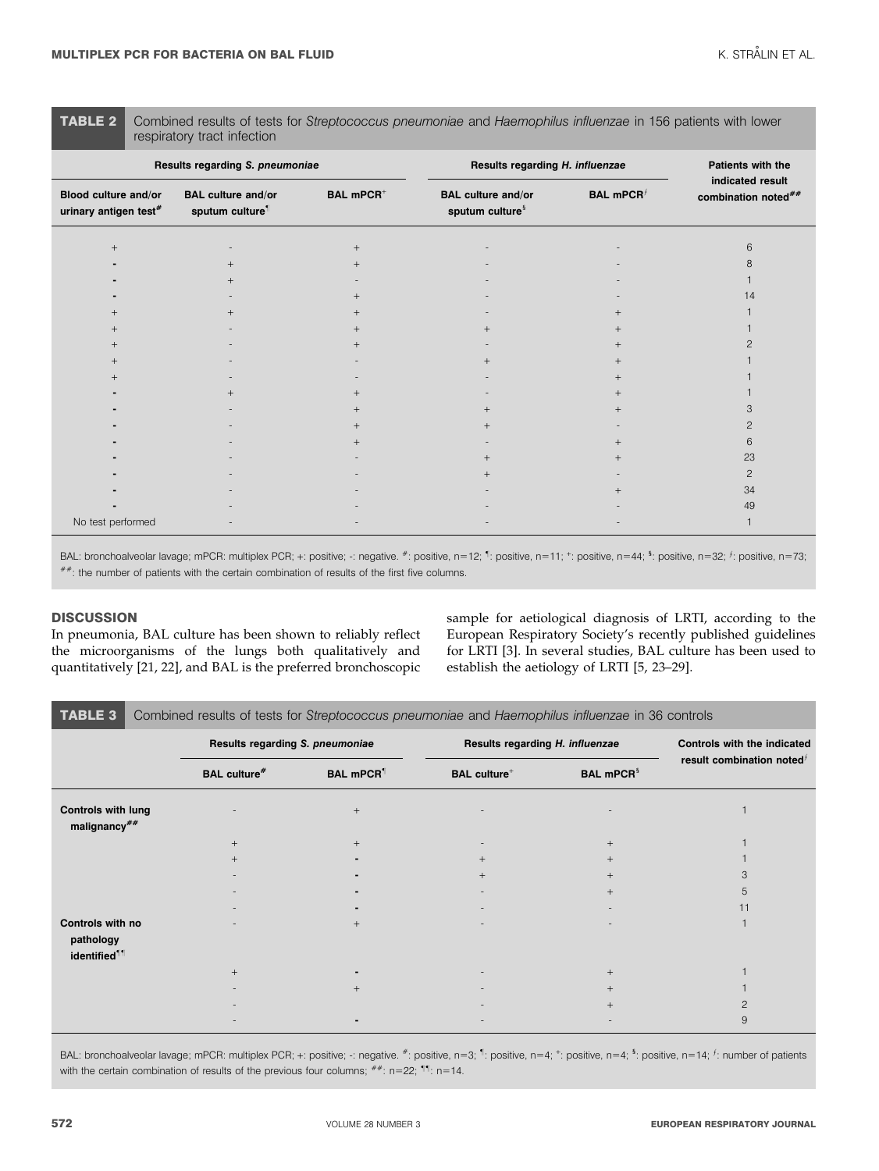TABLE 2 Combined results of tests for Streptococcus pneumoniae and Haemophilus influenzae in 156 patients with lower respiratory tract infection

| Results regarding S. pneumoniae                  |                                                          |                             | Results regarding H. influenzae                          | Patients with the                         |                                         |  |
|--------------------------------------------------|----------------------------------------------------------|-----------------------------|----------------------------------------------------------|-------------------------------------------|-----------------------------------------|--|
| Blood culture and/or<br>urinary antigen test $*$ | <b>BAL culture and/or</b><br>sputum culture <sup>1</sup> | <b>BAL mPCR<sup>+</sup></b> | <b>BAL culture and/or</b><br>sputum culture <sup>§</sup> | <b>BAL mPCR</b> <sup><math>f</math></sup> | indicated result<br>combination noted## |  |
| $+$                                              |                                                          | $^{+}$                      |                                                          |                                           | 6                                       |  |
|                                                  |                                                          |                             |                                                          |                                           |                                         |  |
|                                                  |                                                          |                             |                                                          |                                           |                                         |  |
|                                                  |                                                          |                             |                                                          |                                           | 14                                      |  |
|                                                  |                                                          |                             |                                                          |                                           |                                         |  |
|                                                  |                                                          |                             |                                                          |                                           |                                         |  |
|                                                  |                                                          |                             |                                                          |                                           |                                         |  |
|                                                  |                                                          |                             |                                                          |                                           |                                         |  |
|                                                  |                                                          |                             |                                                          |                                           |                                         |  |
|                                                  |                                                          |                             |                                                          |                                           |                                         |  |
|                                                  |                                                          |                             |                                                          |                                           |                                         |  |
|                                                  |                                                          |                             |                                                          |                                           |                                         |  |
|                                                  |                                                          |                             |                                                          |                                           | 6                                       |  |
|                                                  |                                                          |                             |                                                          |                                           | 23                                      |  |
|                                                  |                                                          |                             |                                                          |                                           | $\overline{c}$                          |  |
|                                                  |                                                          |                             |                                                          |                                           | 34                                      |  |
|                                                  |                                                          |                             |                                                          |                                           | 49                                      |  |
| No test performed                                |                                                          |                             |                                                          |                                           |                                         |  |

BAL: bronchoalveolar lavage; mPCR: multiplex PCR; +: positive; -: negative.  $*$ : positive, n=12; 1: positive, n=11; +: positive, n=44; 5: positive, n=32;  $f$ : positive, n=73; ##: the number of patients with the certain combination of results of the first five columns.

## **DISCUSSION**

In pneumonia, BAL culture has been shown to reliably reflect the microorganisms of the lungs both qualitatively and quantitatively [21, 22], and BAL is the preferred bronchoscopic

sample for aetiological diagnosis of LRTI, according to the European Respiratory Society's recently published guidelines for LRTI [3]. In several studies, BAL culture has been used to establish the aetiology of LRTI [5, 23–29].

| <b>TABLE 3</b> Combined results of tests for Streptococcus pneumoniae and Haemophilus influenzae in 36 controls |  |  |  |  |
|-----------------------------------------------------------------------------------------------------------------|--|--|--|--|
|-----------------------------------------------------------------------------------------------------------------|--|--|--|--|

|                                                           |                                 | --                           |                                 |                              |                              |
|-----------------------------------------------------------|---------------------------------|------------------------------|---------------------------------|------------------------------|------------------------------|
|                                                           | Results regarding S. pneumoniae |                              | Results regarding H. influenzae |                              | Controls with the indicated  |
|                                                           | <b>BAL culture#</b>             | <b>BAL mPCR</b> <sup>1</sup> | <b>BAL culture</b> <sup>+</sup> | <b>BAL mPCR</b> <sup>§</sup> | result combination noted $f$ |
| <b>Controls with lung</b><br>malignancy##                 |                                 | $+$                          |                                 |                              |                              |
|                                                           |                                 |                              |                                 | $+$                          |                              |
|                                                           |                                 |                              | $+$                             | $+$                          |                              |
|                                                           |                                 |                              | $^{+}$                          | $+$                          |                              |
|                                                           |                                 |                              |                                 | $^{+}$                       |                              |
|                                                           |                                 |                              |                                 |                              | 11                           |
| Controls with no<br>pathology<br>identified <sup>11</sup> |                                 | $+$                          |                                 |                              |                              |
|                                                           |                                 |                              |                                 | $+$                          |                              |
|                                                           |                                 |                              |                                 | $^{+}$                       |                              |
|                                                           |                                 |                              |                                 |                              |                              |
|                                                           |                                 |                              |                                 |                              | 9                            |

BAL: bronchoalveolar lavage; mPCR: multiplex PCR; +: positive; -: negative. #: positive, n=3; <sup>1</sup>: positive, n=4; <sup>+</sup>: positive, n=4; <sup>\$</sup>: positive, n=14; <sup>*f*</sup>: number of patients with the certain combination of results of the previous four columns;  $^{#+}$ : n=22;  $^{\text{1}\text{1}}$ : n=14.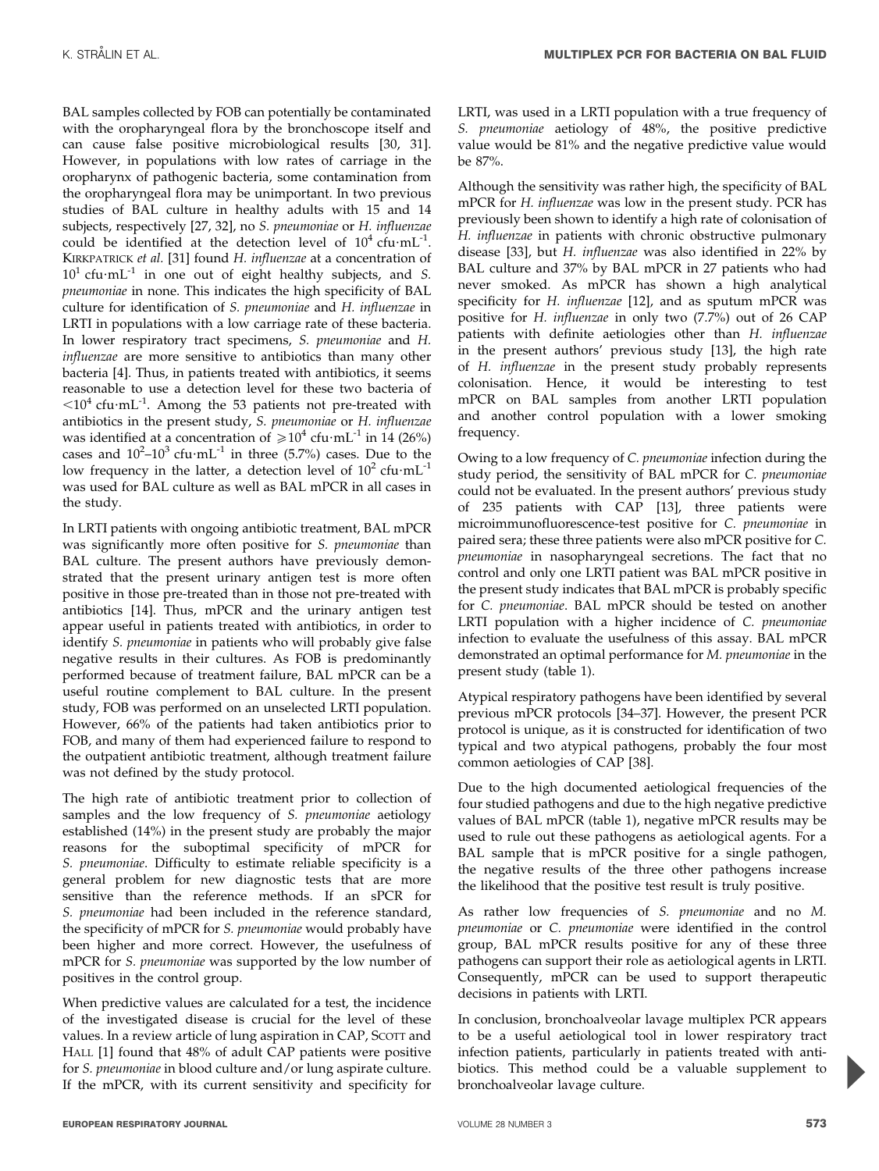BAL samples collected by FOB can potentially be contaminated with the oropharyngeal flora by the bronchoscope itself and can cause false positive microbiological results [30, 31]. However, in populations with low rates of carriage in the oropharynx of pathogenic bacteria, some contamination from the oropharyngeal flora may be unimportant. In two previous studies of BAL culture in healthy adults with 15 and 14 subjects, respectively [27, 32], no S. pneumoniae or H. influenzae could be identified at the detection level of  $10^4$  cfu $\cdot$ mL<sup>-1</sup>. KIRKPATRICK et al. [31] found H. influenzae at a concentration of  $10<sup>1</sup>$  cfu $\cdot$ mL<sup>-1</sup> in one out of eight healthy subjects, and S. pneumoniae in none. This indicates the high specificity of BAL culture for identification of S. pneumoniae and H. influenzae in LRTI in populations with a low carriage rate of these bacteria. In lower respiratory tract specimens, S. pneumoniae and H. influenzae are more sensitive to antibiotics than many other bacteria [4]. Thus, in patients treated with antibiotics, it seems reasonable to use a detection level for these two bacteria of  $\langle 10^4 \text{ c}$ fu·mL<sup>-1</sup>. Among the 53 patients not pre-treated with antibiotics in the present study, S. pneumoniae or H. influenzae was identified at a concentration of  $\geq 10^4$  cfu $\cdot$ mL<sup>-1</sup> in 14 (26%) cases and  $10^2 - 10^3$  cfu $\cdot$ mL<sup>-1</sup> in three (5.7%) cases. Due to the low frequency in the latter, a detection level of  $10^2$  cfu $\cdot$ mL<sup>-1</sup> was used for BAL culture as well as BAL mPCR in all cases in the study.

In LRTI patients with ongoing antibiotic treatment, BAL mPCR was significantly more often positive for S. pneumoniae than BAL culture. The present authors have previously demonstrated that the present urinary antigen test is more often positive in those pre-treated than in those not pre-treated with antibiotics [14]. Thus, mPCR and the urinary antigen test appear useful in patients treated with antibiotics, in order to identify S. pneumoniae in patients who will probably give false negative results in their cultures. As FOB is predominantly performed because of treatment failure, BAL mPCR can be a useful routine complement to BAL culture. In the present study, FOB was performed on an unselected LRTI population. However, 66% of the patients had taken antibiotics prior to FOB, and many of them had experienced failure to respond to the outpatient antibiotic treatment, although treatment failure was not defined by the study protocol.

The high rate of antibiotic treatment prior to collection of samples and the low frequency of S. pneumoniae aetiology established (14%) in the present study are probably the major reasons for the suboptimal specificity of mPCR for S. pneumoniae. Difficulty to estimate reliable specificity is a general problem for new diagnostic tests that are more sensitive than the reference methods. If an sPCR for S. pneumoniae had been included in the reference standard, the specificity of mPCR for S. pneumoniae would probably have been higher and more correct. However, the usefulness of mPCR for S. pneumoniae was supported by the low number of positives in the control group.

When predictive values are calculated for a test, the incidence of the investigated disease is crucial for the level of these values. In a review article of lung aspiration in CAP, SCOTT and HALL [1] found that 48% of adult CAP patients were positive for S. pneumoniae in blood culture and/or lung aspirate culture. If the mPCR, with its current sensitivity and specificity for LRTI, was used in a LRTI population with a true frequency of S. pneumoniae aetiology of 48%, the positive predictive value would be 81% and the negative predictive value would be 87%.

Although the sensitivity was rather high, the specificity of BAL mPCR for H. influenzae was low in the present study. PCR has previously been shown to identify a high rate of colonisation of H. influenzae in patients with chronic obstructive pulmonary disease [33], but H. influenzae was also identified in 22% by BAL culture and 37% by BAL mPCR in 27 patients who had never smoked. As mPCR has shown a high analytical specificity for H. influenzae [12], and as sputum mPCR was positive for H. influenzae in only two (7.7%) out of 26 CAP patients with definite aetiologies other than H. influenzae in the present authors' previous study [13], the high rate of H. influenzae in the present study probably represents colonisation. Hence, it would be interesting to test mPCR on BAL samples from another LRTI population and another control population with a lower smoking frequency.

Owing to a low frequency of C. pneumoniae infection during the study period, the sensitivity of BAL mPCR for C. pneumoniae could not be evaluated. In the present authors' previous study of 235 patients with CAP [13], three patients were microimmunofluorescence-test positive for C. pneumoniae in paired sera; these three patients were also mPCR positive for C. pneumoniae in nasopharyngeal secretions. The fact that no control and only one LRTI patient was BAL mPCR positive in the present study indicates that BAL mPCR is probably specific for C. pneumoniae. BAL mPCR should be tested on another LRTI population with a higher incidence of C. pneumoniae infection to evaluate the usefulness of this assay. BAL mPCR demonstrated an optimal performance for M. pneumoniae in the present study (table 1).

Atypical respiratory pathogens have been identified by several previous mPCR protocols [34–37]. However, the present PCR protocol is unique, as it is constructed for identification of two typical and two atypical pathogens, probably the four most common aetiologies of CAP [38].

Due to the high documented aetiological frequencies of the four studied pathogens and due to the high negative predictive values of BAL mPCR (table 1), negative mPCR results may be used to rule out these pathogens as aetiological agents. For a BAL sample that is mPCR positive for a single pathogen, the negative results of the three other pathogens increase the likelihood that the positive test result is truly positive.

As rather low frequencies of S. pneumoniae and no M. pneumoniae or C. pneumoniae were identified in the control group, BAL mPCR results positive for any of these three pathogens can support their role as aetiological agents in LRTI. Consequently, mPCR can be used to support therapeutic decisions in patients with LRTI.

In conclusion, bronchoalveolar lavage multiplex PCR appears to be a useful aetiological tool in lower respiratory tract infection patients, particularly in patients treated with antibiotics. This method could be a valuable supplement to bronchoalveolar lavage culture.

P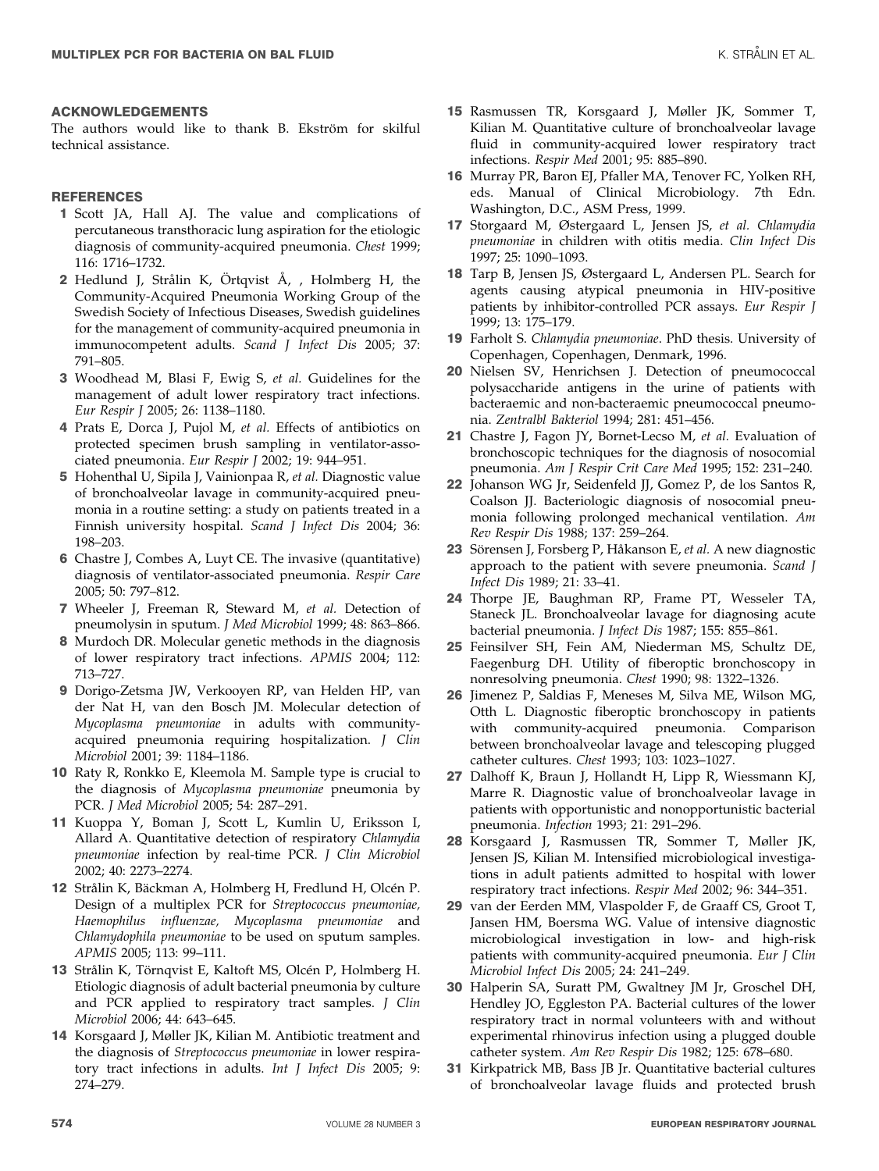### ACKNOWLEDGEMENTS

The authors would like to thank B. Ekström for skilful technical assistance.

## REFERENCES

- 1 Scott JA, Hall AJ. The value and complications of percutaneous transthoracic lung aspiration for the etiologic diagnosis of community-acquired pneumonia. Chest 1999; 116: 1716–1732.
- 2 Hedlund J, Strålin K, Örtqvist Å, , Holmberg H, the Community-Acquired Pneumonia Working Group of the Swedish Society of Infectious Diseases, Swedish guidelines for the management of community-acquired pneumonia in immunocompetent adults. Scand J Infect Dis 2005; 37: 791–805.
- 3 Woodhead M, Blasi F, Ewig S, et al. Guidelines for the management of adult lower respiratory tract infections. Eur Respir J 2005; 26: 1138–1180.
- 4 Prats E, Dorca J, Pujol M, et al. Effects of antibiotics on protected specimen brush sampling in ventilator-associated pneumonia. Eur Respir J 2002; 19: 944–951.
- 5 Hohenthal U, Sipila J, Vainionpaa R, et al. Diagnostic value of bronchoalveolar lavage in community-acquired pneumonia in a routine setting: a study on patients treated in a Finnish university hospital. Scand J Infect Dis 2004; 36: 198–203.
- 6 Chastre J, Combes A, Luyt CE. The invasive (quantitative) diagnosis of ventilator-associated pneumonia. Respir Care 2005; 50: 797–812.
- 7 Wheeler J, Freeman R, Steward M, et al. Detection of pneumolysin in sputum. J Med Microbiol 1999; 48: 863–866.
- 8 Murdoch DR. Molecular genetic methods in the diagnosis of lower respiratory tract infections. APMIS 2004; 112: 713–727.
- 9 Dorigo-Zetsma JW, Verkooyen RP, van Helden HP, van der Nat H, van den Bosch JM. Molecular detection of Mycoplasma pneumoniae in adults with communityacquired pneumonia requiring hospitalization. J Clin Microbiol 2001; 39: 1184–1186.
- 10 Raty R, Ronkko E, Kleemola M. Sample type is crucial to the diagnosis of Mycoplasma pneumoniae pneumonia by PCR. J Med Microbiol 2005; 54: 287–291.
- 11 Kuoppa Y, Boman J, Scott L, Kumlin U, Eriksson I, Allard A. Quantitative detection of respiratory Chlamydia pneumoniae infection by real-time PCR. J Clin Microbiol 2002; 40: 2273–2274.
- 12 Strålin K, Bäckman A, Holmberg H, Fredlund H, Olcén P. Design of a multiplex PCR for Streptococcus pneumoniae, Haemophilus influenzae, Mycoplasma pneumoniae and Chlamydophila pneumoniae to be used on sputum samples. APMIS 2005; 113: 99–111.
- 13 Strålin K, Törnqvist E, Kaltoft MS, Olcén P, Holmberg H. Etiologic diagnosis of adult bacterial pneumonia by culture and PCR applied to respiratory tract samples. J Clin Microbiol 2006; 44: 643–645.
- 14 Korsgaard J, Møller JK, Kilian M. Antibiotic treatment and the diagnosis of Streptococcus pneumoniae in lower respiratory tract infections in adults. Int J Infect Dis 2005; 9: 274–279.
- 15 Rasmussen TR, Korsgaard J, Møller JK, Sommer T, Kilian M. Quantitative culture of bronchoalveolar lavage fluid in community-acquired lower respiratory tract infections. Respir Med 2001; 95: 885–890.
- 16 Murray PR, Baron EJ, Pfaller MA, Tenover FC, Yolken RH, eds. Manual of Clinical Microbiology. 7th Edn. Washington, D.C., ASM Press, 1999.
- 17 Storgaard M, Østergaard L, Jensen JS, et al. Chlamydia pneumoniae in children with otitis media. Clin Infect Dis 1997; 25: 1090–1093.
- 18 Tarp B, Jensen JS, Østergaard L, Andersen PL. Search for agents causing atypical pneumonia in HIV-positive patients by inhibitor-controlled PCR assays. Eur Respir J 1999; 13: 175–179.
- 19 Farholt S. Chlamydia pneumoniae. PhD thesis. University of Copenhagen, Copenhagen, Denmark, 1996.
- 20 Nielsen SV, Henrichsen J. Detection of pneumococcal polysaccharide antigens in the urine of patients with bacteraemic and non-bacteraemic pneumococcal pneumonia. Zentralbl Bakteriol 1994; 281: 451–456.
- 21 Chastre J, Fagon JY, Bornet-Lecso M, et al. Evaluation of bronchoscopic techniques for the diagnosis of nosocomial pneumonia. Am J Respir Crit Care Med 1995; 152: 231–240.
- 22 Johanson WG Jr, Seidenfeld JJ, Gomez P, de los Santos R, Coalson JJ. Bacteriologic diagnosis of nosocomial pneumonia following prolonged mechanical ventilation. Am Rev Respir Dis 1988; 137: 259–264.
- 23 Sörensen J, Forsberg P, Håkanson E, et al. A new diagnostic approach to the patient with severe pneumonia. Scand J Infect Dis 1989; 21: 33–41.
- 24 Thorpe JE, Baughman RP, Frame PT, Wesseler TA, Staneck JL. Bronchoalveolar lavage for diagnosing acute bacterial pneumonia. J Infect Dis 1987; 155: 855–861.
- 25 Feinsilver SH, Fein AM, Niederman MS, Schultz DE, Faegenburg DH. Utility of fiberoptic bronchoscopy in nonresolving pneumonia. Chest 1990; 98: 1322–1326.
- 26 Jimenez P, Saldias F, Meneses M, Silva ME, Wilson MG, Otth L. Diagnostic fiberoptic bronchoscopy in patients with community-acquired pneumonia. Comparison between bronchoalveolar lavage and telescoping plugged catheter cultures. Chest 1993; 103: 1023–1027.
- 27 Dalhoff K, Braun J, Hollandt H, Lipp R, Wiessmann KJ, Marre R. Diagnostic value of bronchoalveolar lavage in patients with opportunistic and nonopportunistic bacterial pneumonia. Infection 1993; 21: 291–296.
- 28 Korsgaard J, Rasmussen TR, Sommer T, Møller JK, Jensen JS, Kilian M. Intensified microbiological investigations in adult patients admitted to hospital with lower respiratory tract infections. Respir Med 2002; 96: 344–351.
- 29 van der Eerden MM, Vlaspolder F, de Graaff CS, Groot T, Jansen HM, Boersma WG. Value of intensive diagnostic microbiological investigation in low- and high-risk patients with community-acquired pneumonia. Eur J Clin Microbiol Infect Dis 2005; 24: 241–249.
- 30 Halperin SA, Suratt PM, Gwaltney JM Jr, Groschel DH, Hendley JO, Eggleston PA. Bacterial cultures of the lower respiratory tract in normal volunteers with and without experimental rhinovirus infection using a plugged double catheter system. Am Rev Respir Dis 1982; 125: 678–680.
- 31 Kirkpatrick MB, Bass JB Jr. Quantitative bacterial cultures of bronchoalveolar lavage fluids and protected brush